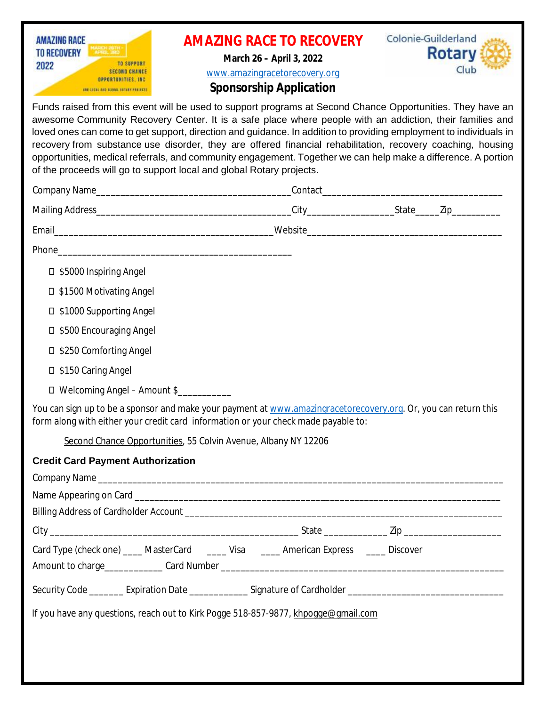| <b>AMAZING RACE</b><br><b>TO RECOVERY</b><br><b>TO SUPPORT</b><br>2022<br><b>SECOND CHANCE</b><br><b>OPPORTUNITIES, INC.</b><br>AND LOCAL AND SLOBAL ROTHUS PRAIECTS.                                                                                                                                                                                                                                                                                                                                                                                                                                                                               |  | <b>AMAZING RACE TO RECOVERY</b><br>March 26 - April 3, 2022<br>www.amazingracetorecovery.org<br><b>Sponsorship Application</b> | Colonie-Guilderland<br><b>Rotary</b><br>Club                                                                   |
|-----------------------------------------------------------------------------------------------------------------------------------------------------------------------------------------------------------------------------------------------------------------------------------------------------------------------------------------------------------------------------------------------------------------------------------------------------------------------------------------------------------------------------------------------------------------------------------------------------------------------------------------------------|--|--------------------------------------------------------------------------------------------------------------------------------|----------------------------------------------------------------------------------------------------------------|
| Funds raised from this event will be used to support programs at Second Chance Opportunities. They have an<br>awesome Community Recovery Center. It is a safe place where people with an addiction, their families and<br>loved ones can come to get support, direction and guidance. In addition to providing employment to individuals in<br>recovery from substance use disorder, they are offered financial rehabilitation, recovery coaching, housing<br>opportunities, medical referrals, and community engagement. Together we can help make a difference. A portion<br>of the proceeds will go to support local and global Rotary projects. |  |                                                                                                                                |                                                                                                                |
|                                                                                                                                                                                                                                                                                                                                                                                                                                                                                                                                                                                                                                                     |  |                                                                                                                                |                                                                                                                |
|                                                                                                                                                                                                                                                                                                                                                                                                                                                                                                                                                                                                                                                     |  |                                                                                                                                |                                                                                                                |
|                                                                                                                                                                                                                                                                                                                                                                                                                                                                                                                                                                                                                                                     |  |                                                                                                                                |                                                                                                                |
|                                                                                                                                                                                                                                                                                                                                                                                                                                                                                                                                                                                                                                                     |  |                                                                                                                                |                                                                                                                |
| □ \$5000 Inspiring Angel                                                                                                                                                                                                                                                                                                                                                                                                                                                                                                                                                                                                                            |  |                                                                                                                                |                                                                                                                |
| □ \$1500 Motivating Angel                                                                                                                                                                                                                                                                                                                                                                                                                                                                                                                                                                                                                           |  |                                                                                                                                |                                                                                                                |
| □ \$1000 Supporting Angel                                                                                                                                                                                                                                                                                                                                                                                                                                                                                                                                                                                                                           |  |                                                                                                                                |                                                                                                                |
| □ \$500 Encouraging Angel                                                                                                                                                                                                                                                                                                                                                                                                                                                                                                                                                                                                                           |  |                                                                                                                                |                                                                                                                |
| □ \$250 Comforting Angel                                                                                                                                                                                                                                                                                                                                                                                                                                                                                                                                                                                                                            |  |                                                                                                                                |                                                                                                                |
| □ \$150 Caring Angel                                                                                                                                                                                                                                                                                                                                                                                                                                                                                                                                                                                                                                |  |                                                                                                                                |                                                                                                                |
| □ Welcoming Angel - Amount \$                                                                                                                                                                                                                                                                                                                                                                                                                                                                                                                                                                                                                       |  |                                                                                                                                |                                                                                                                |
| You can sign up to be a sponsor and make your payment at www.amazingracetorecovery.org. Or, you can return this<br>form along with either your credit card information or your check made payable to:                                                                                                                                                                                                                                                                                                                                                                                                                                               |  |                                                                                                                                |                                                                                                                |
| Second Chance Opportunities, 55 Colvin Avenue, Albany NY 12206                                                                                                                                                                                                                                                                                                                                                                                                                                                                                                                                                                                      |  |                                                                                                                                |                                                                                                                |
| <b>Credit Card Payment Authorization</b>                                                                                                                                                                                                                                                                                                                                                                                                                                                                                                                                                                                                            |  |                                                                                                                                |                                                                                                                |
|                                                                                                                                                                                                                                                                                                                                                                                                                                                                                                                                                                                                                                                     |  |                                                                                                                                |                                                                                                                |
|                                                                                                                                                                                                                                                                                                                                                                                                                                                                                                                                                                                                                                                     |  |                                                                                                                                |                                                                                                                |
|                                                                                                                                                                                                                                                                                                                                                                                                                                                                                                                                                                                                                                                     |  |                                                                                                                                |                                                                                                                |
|                                                                                                                                                                                                                                                                                                                                                                                                                                                                                                                                                                                                                                                     |  |                                                                                                                                |                                                                                                                |
| Card Type (check one) ____ MasterCard ____ Visa _____ American Express ____ Discover                                                                                                                                                                                                                                                                                                                                                                                                                                                                                                                                                                |  |                                                                                                                                |                                                                                                                |
|                                                                                                                                                                                                                                                                                                                                                                                                                                                                                                                                                                                                                                                     |  |                                                                                                                                | Security Code ________ Expiration Date _______________ Signature of Cardholder _______________________________ |
| If you have any questions, reach out to Kirk Pogge 518-857-9877, khpogge@gmail.com                                                                                                                                                                                                                                                                                                                                                                                                                                                                                                                                                                  |  |                                                                                                                                |                                                                                                                |
|                                                                                                                                                                                                                                                                                                                                                                                                                                                                                                                                                                                                                                                     |  |                                                                                                                                |                                                                                                                |
|                                                                                                                                                                                                                                                                                                                                                                                                                                                                                                                                                                                                                                                     |  |                                                                                                                                |                                                                                                                |
|                                                                                                                                                                                                                                                                                                                                                                                                                                                                                                                                                                                                                                                     |  |                                                                                                                                |                                                                                                                |